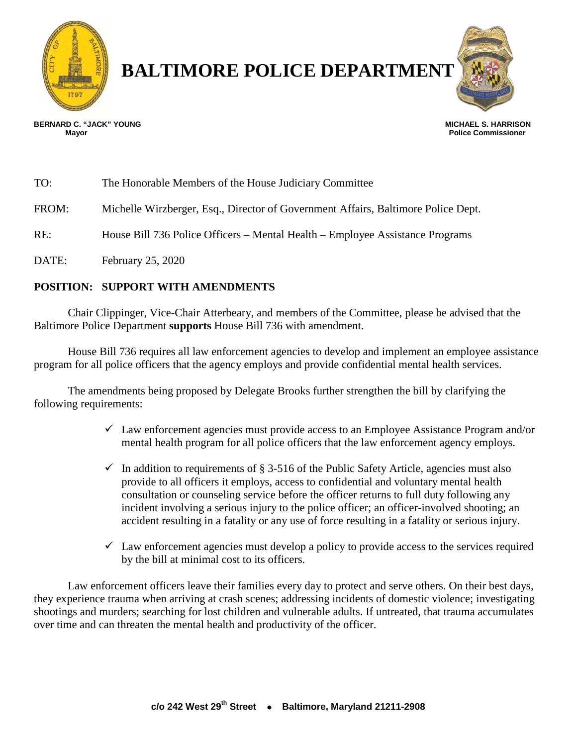

# **BALTIMORE POLICE DEPARTMENT**



 **Police Commissioner** 

**BERNARD C. "JACK" YOUNG MICHAEL S. HARRISON**

TO: The Honorable Members of the House Judiciary Committee FROM: Michelle Wirzberger, Esq., Director of Government Affairs, Baltimore Police Dept. RE: House Bill 736 Police Officers – Mental Health – Employee Assistance Programs DATE: February 25, 2020

### **POSITION: SUPPORT WITH AMENDMENTS**

Chair Clippinger, Vice-Chair Atterbeary, and members of the Committee, please be advised that the Baltimore Police Department **supports** House Bill 736 with amendment.

House Bill 736 requires all law enforcement agencies to develop and implement an employee assistance program for all police officers that the agency employs and provide confidential mental health services.

The amendments being proposed by Delegate Brooks further strengthen the bill by clarifying the following requirements:

- $\checkmark$  Law enforcement agencies must provide access to an Employee Assistance Program and/or mental health program for all police officers that the law enforcement agency employs.
- $\checkmark$  In addition to requirements of § 3-516 of the Public Safety Article, agencies must also provide to all officers it employs, access to confidential and voluntary mental health consultation or counseling service before the officer returns to full duty following any incident involving a serious injury to the police officer; an officer-involved shooting; an accident resulting in a fatality or any use of force resulting in a fatality or serious injury.
- $\checkmark$  Law enforcement agencies must develop a policy to provide access to the services required by the bill at minimal cost to its officers.

Law enforcement officers leave their families every day to protect and serve others. On their best days, they experience trauma when arriving at crash scenes; addressing incidents of domestic violence; investigating shootings and murders; searching for lost children and vulnerable adults. If untreated, that trauma accumulates over time and can threaten the mental health and productivity of the officer.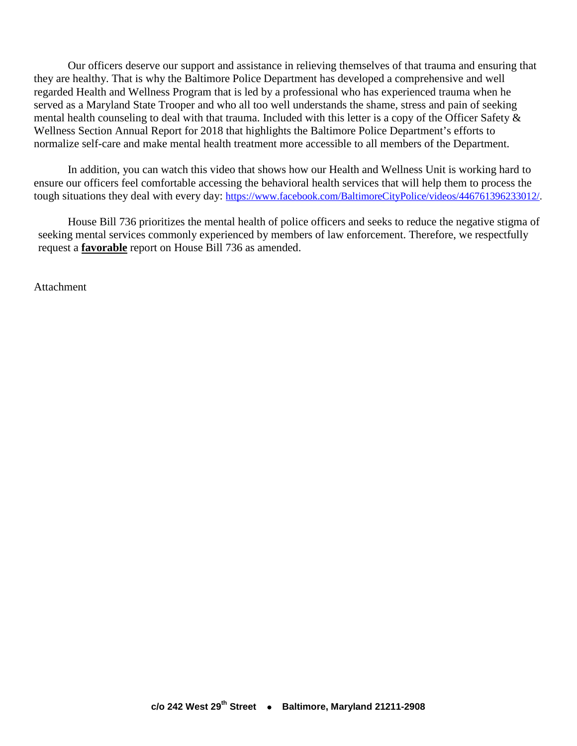Our officers deserve our support and assistance in relieving themselves of that trauma and ensuring that they are healthy. That is why the Baltimore Police Department has developed a comprehensive and well regarded Health and Wellness Program that is led by a professional who has experienced trauma when he served as a Maryland State Trooper and who all too well understands the shame, stress and pain of seeking mental health counseling to deal with that trauma. Included with this letter is a copy of the Officer Safety & Wellness Section Annual Report for 2018 that highlights the Baltimore Police Department's efforts to normalize self-care and make mental health treatment more accessible to all members of the Department.

In addition, you can watch this video that shows how our Health and Wellness Unit is working hard to ensure our officers feel comfortable accessing the behavioral health services that will help them to process the tough situations they deal with every day: [https://www.facebook.com/BaltimoreCityPolice/videos/446761396233012/.](https://www.facebook.com/BaltimoreCityPolice/videos/446761396233012/)

House Bill 736 prioritizes the mental health of police officers and seeks to reduce the negative stigma of seeking mental services commonly experienced by members of law enforcement. Therefore, we respectfully request a **favorable** report on House Bill 736 as amended.

**Attachment**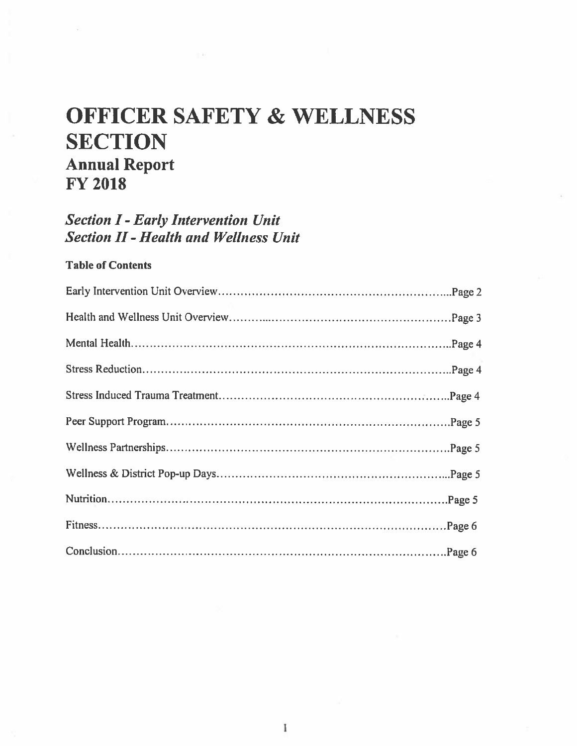# **OFFICER SAFETY & WELLNESS SECTION Annual Report FY 2018**

## **Section I - Early Intervention Unit Section II - Health and Wellness Unit**

### **Table of Contents**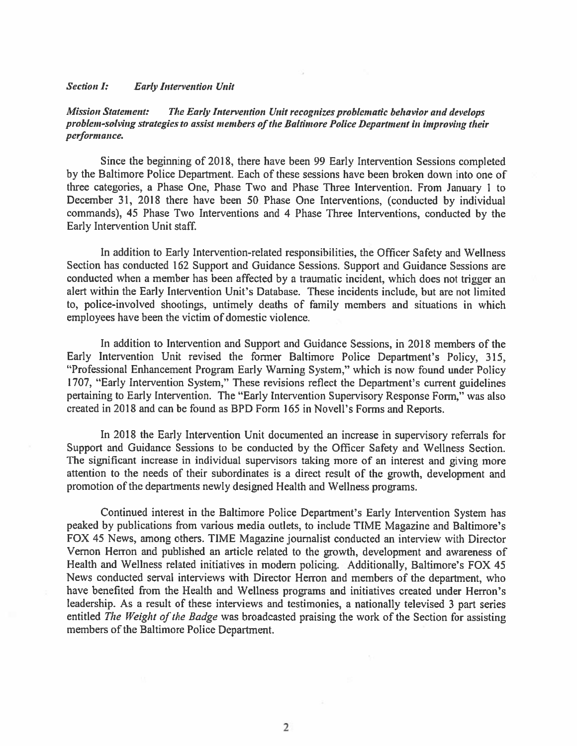#### **Section I: Early Intervention Unit**

**Mission Statement:** The Early Intervention Unit recognizes problematic behavior and develops problem-solving strategies to assist members of the Baltimore Police Department in improving their performance.

Since the beginning of 2018, there have been 99 Early Intervention Sessions completed by the Baltimore Police Department. Each of these sessions have been broken down into one of three categories, a Phase One, Phase Two and Phase Three Intervention. From January 1 to December 31, 2018 there have been 50 Phase One Interventions, (conducted by individual commands), 45 Phase Two Interventions and 4 Phase Three Interventions, conducted by the Early Intervention Unit staff.

In addition to Early Intervention-related responsibilities, the Officer Safety and Wellness Section has conducted 162 Support and Guidance Sessions. Support and Guidance Sessions are conducted when a member has been affected by a traumatic incident, which does not trigger an alert within the Early Intervention Unit's Database. These incidents include, but are not limited to, police-involved shootings, untimely deaths of family members and situations in which employees have been the victim of domestic violence.

In addition to Intervention and Support and Guidance Sessions, in 2018 members of the Early Intervention Unit revised the former Baltimore Police Department's Policy, 315, "Professional Enhancement Program Early Warning System," which is now found under Policy 1707, "Early Intervention System," These revisions reflect the Department's current guidelines pertaining to Early Intervention. The "Early Intervention Supervisory Response Form," was also created in 2018 and can be found as BPD Form 165 in Novell's Forms and Reports.

In 2018 the Early Intervention Unit documented an increase in supervisory referrals for Support and Guidance Sessions to be conducted by the Officer Safety and Wellness Section. The significant increase in individual supervisors taking more of an interest and giving more attention to the needs of their subordinates is a direct result of the growth, development and promotion of the departments newly designed Health and Wellness programs.

Continued interest in the Baltimore Police Department's Early Intervention System has peaked by publications from various media outlets, to include TIME Magazine and Baltimore's FOX 45 News, among others. TIME Magazine journalist conducted an interview with Director Vernon Herron and published an article related to the growth, development and awareness of Health and Wellness related initiatives in modern policing. Additionally, Baltimore's FOX 45 News conducted serval interviews with Director Herron and members of the department, who have benefited from the Health and Wellness programs and initiatives created under Herron's leadership. As a result of these interviews and testimonies, a nationally televised 3 part series entitled The Weight of the Badge was broadcasted praising the work of the Section for assisting members of the Baltimore Police Department.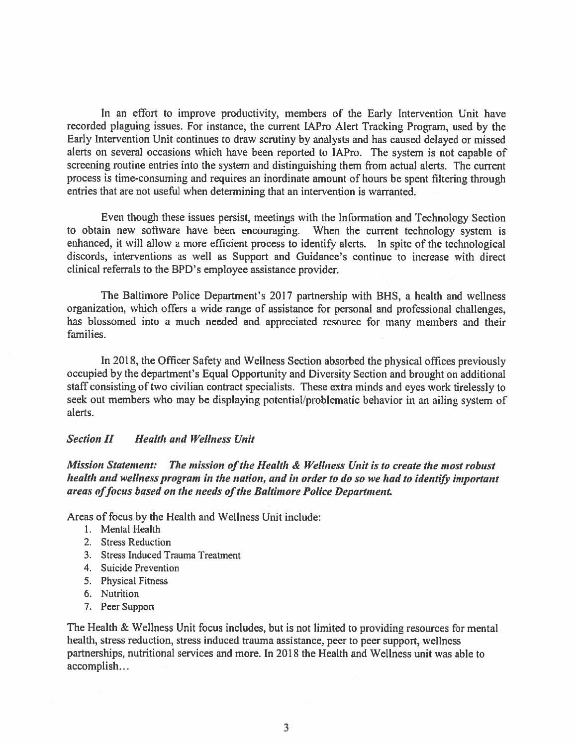In an effort to improve productivity, members of the Early Intervention Unit have recorded plaguing issues. For instance, the current IAPro Alert Tracking Program, used by the Early Intervention Unit continues to draw scrutiny by analysts and has caused delayed or missed alerts on several occasions which have been reported to IAPro. The system is not capable of screening routine entries into the system and distinguishing them from actual alerts. The current process is time-consuming and requires an inordinate amount of hours be spent filtering through entries that are not useful when determining that an intervention is warranted.

Even though these issues persist, meetings with the Information and Technology Section to obtain new software have been encouraging. When the current technology system is enhanced, it will allow a more efficient process to identify alerts. In spite of the technological discords, interventions as well as Support and Guidance's continue to increase with direct clinical referrals to the BPD's employee assistance provider.

The Baltimore Police Department's 2017 partnership with BHS, a health and wellness organization, which offers a wide range of assistance for personal and professional challenges, has blossomed into a much needed and appreciated resource for many members and their families.

In 2018, the Officer Safety and Wellness Section absorbed the physical offices previously occupied by the department's Equal Opportunity and Diversity Section and brought on additional staff consisting of two civilian contract specialists. These extra minds and eyes work tirelessly to seek out members who may be displaying potential/problematic behavior in an ailing system of alerts.

#### **Section II Health and Wellness Unit**

Mission Statement: The mission of the Health & Wellness Unit is to create the most robust health and wellness program in the nation, and in order to do so we had to identify important areas of focus based on the needs of the Baltimore Police Department.

Areas of focus by the Health and Wellness Unit include:

- 1. Mental Health
- 2. Stress Reduction
- 3. Stress Induced Trauma Treatment
- 4. Suicide Prevention
- 5. Physical Fitness
- 6. Nutrition
- 7. Peer Support

The Health & Wellness Unit focus includes, but is not limited to providing resources for mental health, stress reduction, stress induced trauma assistance, peer to peer support, wellness partnerships, nutritional services and more. In 2018 the Health and Wellness unit was able to accomplish...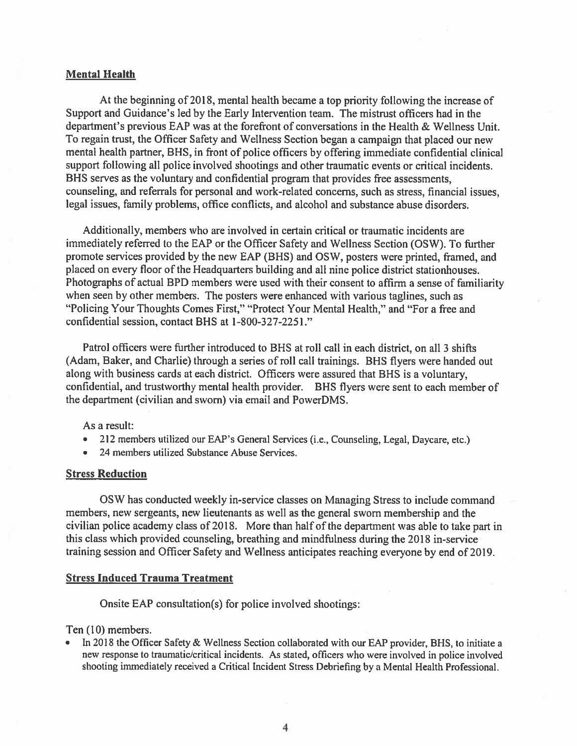#### **Mental Health**

At the beginning of 2018, mental health became a top priority following the increase of Support and Guidance's led by the Early Intervention team. The mistrust officers had in the department's previous EAP was at the forefront of conversations in the Health & Wellness Unit. To regain trust, the Officer Safety and Wellness Section began a campaign that placed our new mental health partner, BHS, in front of police officers by offering immediate confidential clinical support following all police involved shootings and other traumatic events or critical incidents. BHS serves as the voluntary and confidential program that provides free assessments, counseling, and referrals for personal and work-related concerns, such as stress, financial issues, legal issues, family problems, office conflicts, and alcohol and substance abuse disorders.

Additionally, members who are involved in certain critical or traumatic incidents are immediately referred to the EAP or the Officer Safety and Wellness Section (OSW). To further promote services provided by the new EAP (BHS) and OSW, posters were printed, framed, and placed on every floor of the Headquarters building and all nine police district stationhouses. Photographs of actual BPD members were used with their consent to affirm a sense of familiarity when seen by other members. The posters were enhanced with various taglines, such as "Policing Your Thoughts Comes First," "Protect Your Mental Health," and "For a free and confidential session, contact BHS at 1-800-327-2251."

Patrol officers were further introduced to BHS at roll call in each district, on all 3 shifts (Adam, Baker, and Charlie) through a series of roll call trainings. BHS flyers were handed out along with business cards at each district. Officers were assured that BHS is a voluntary. confidential, and trustworthy mental health provider. BHS flyers were sent to each member of the department (civilian and sworn) via email and PowerDMS.

As a result:

- 212 members utilized our EAP's General Services (i.e., Counseling, Legal, Daycare, etc.)
- $\bullet$ 24 members utilized Substance Abuse Services.

#### **Stress Reduction**

OSW has conducted weekly in-service classes on Managing Stress to include command members, new sergeants, new lieutenants as well as the general sworn membership and the civilian police academy class of 2018. More than half of the department was able to take part in this class which provided counseling, breathing and mindfulness during the 2018 in-service training session and Officer Safety and Wellness anticipates reaching everyone by end of 2019.

#### **Stress Induced Trauma Treatment**

Onsite EAP consultation(s) for police involved shootings:

Ten (10) members.

In 2018 the Officer Safety & Wellness Section collaborated with our EAP provider, BHS, to initiate a new response to traumatic/critical incidents. As stated, officers who were involved in police involved shooting immediately received a Critical Incident Stress Debriefing by a Mental Health Professional.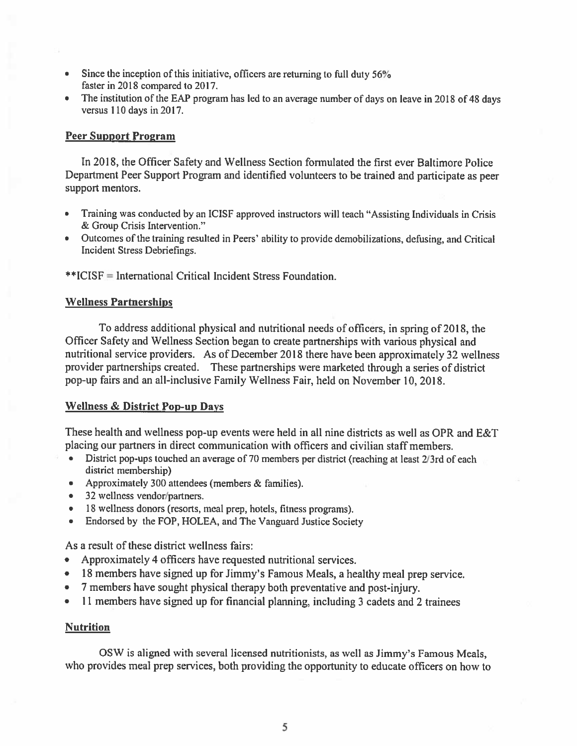- Since the inception of this initiative, officers are returning to full duty 56%  $\bullet$ faster in 2018 compared to 2017.
- The institution of the EAP program has led to an average number of days on leave in 2018 of 48 days versus 110 days in 2017.

#### **Peer Support Program**

In 2018, the Officer Safety and Wellness Section formulated the first ever Baltimore Police Department Peer Support Program and identified volunteers to be trained and participate as peer support mentors.

- Training was conducted by an ICISF approved instructors will teach "Assisting Individuals in Crisis & Group Crisis Intervention."
- Outcomes of the training resulted in Peers' ability to provide demobilizations, defusing, and Critical Incident Stress Debriefings.

\*\*ICISF = International Critical Incident Stress Foundation.

#### **Wellness Partnerships**

To address additional physical and nutritional needs of officers, in spring of 2018, the Officer Safety and Wellness Section began to create partnerships with various physical and nutritional service providers. As of December 2018 there have been approximately 32 wellness provider partnerships created. These partnerships were marketed through a series of district pop-up fairs and an all-inclusive Family Wellness Fair, held on November 10, 2018.

#### **Wellness & District Pop-up Days**

These health and wellness pop-up events were held in all nine districts as well as OPR and E&T placing our partners in direct communication with officers and civilian staff members.

- District pop-ups touched an average of 70 members per district (reaching at least 2/3rd of each district membership)
- Approximately 300 attendees (members & families).
- 32 wellness vendor/partners.
- 18 wellness donors (resorts, meal prep, hotels, fitness programs).
- Endorsed by the FOP, HOLEA, and The Vanguard Justice Society  $\bullet$  .

As a result of these district wellness fairs:

- Approximately 4 officers have requested nutritional services.
- 18 members have signed up for Jimmy's Famous Meals, a healthy meal prep service.
- 7 members have sought physical therapy both preventative and post-injury.
- 11 members have signed up for financial planning, including 3 cadets and 2 trainees

#### **Nutrition**

OSW is aligned with several licensed nutritionists, as well as Jimmy's Famous Meals, who provides meal prep services, both providing the opportunity to educate officers on how to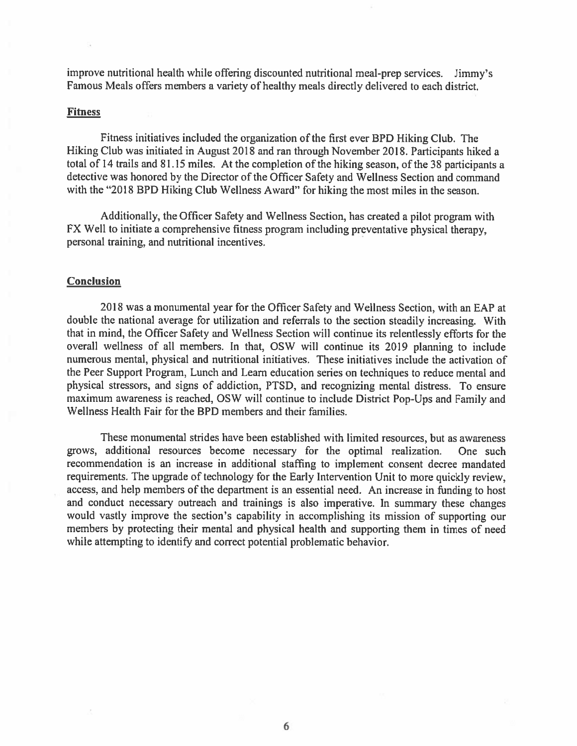improve nutritional health while offering discounted nutritional meal-prep services. Jimmy's Famous Meals offers members a variety of healthy meals directly delivered to each district.

#### **Fitness**

Fitness initiatives included the organization of the first ever BPD Hiking Club. The Hiking Club was initiated in August 2018 and ran through November 2018. Participants hiked a total of 14 trails and 81.15 miles. At the completion of the hiking season, of the 38 participants a detective was honored by the Director of the Officer Safety and Wellness Section and command with the "2018 BPD Hiking Club Wellness Award" for hiking the most miles in the season.

Additionally, the Officer Safety and Wellness Section, has created a pilot program with FX Well to initiate a comprehensive fitness program including preventative physical therapy, personal training, and nutritional incentives.

#### **Conclusion**

2018 was a monumental year for the Officer Safety and Wellness Section, with an EAP at double the national average for utilization and referrals to the section steadily increasing. With that in mind, the Officer Safety and Wellness Section will continue its relentlessly efforts for the overall wellness of all members. In that, OSW will continue its 2019 planning to include numerous mental, physical and nutritional initiatives. These initiatives include the activation of the Peer Support Program, Lunch and Learn education series on techniques to reduce mental and physical stressors, and signs of addiction, PTSD, and recognizing mental distress. To ensure maximum awareness is reached, OSW will continue to include District Pop-Ups and Family and Wellness Health Fair for the BPD members and their families.

These monumental strides have been established with limited resources, but as awareness grows, additional resources become necessary for the optimal realization. One such recommendation is an increase in additional staffing to implement consent decree mandated requirements. The upgrade of technology for the Early Intervention Unit to more quickly review, access, and help members of the department is an essential need. An increase in funding to host and conduct necessary outreach and trainings is also imperative. In summary these changes would vastly improve the section's capability in accomplishing its mission of supporting our members by protecting their mental and physical health and supporting them in times of need while attempting to identify and correct potential problematic behavior.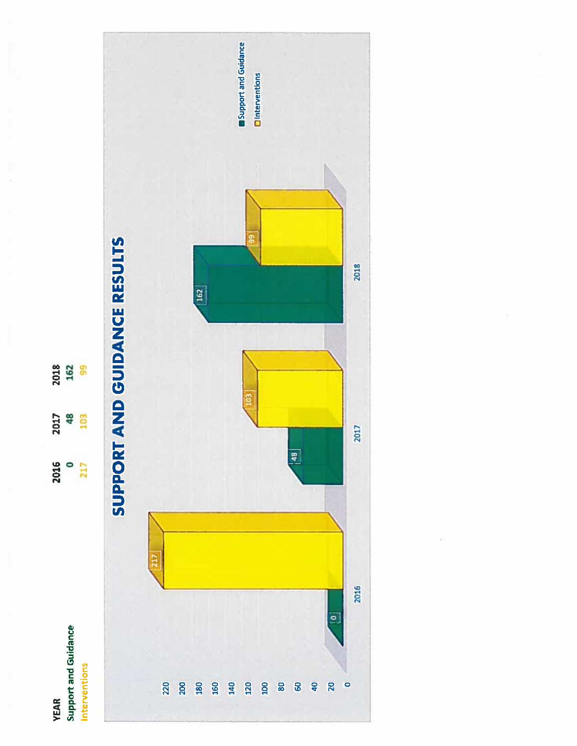